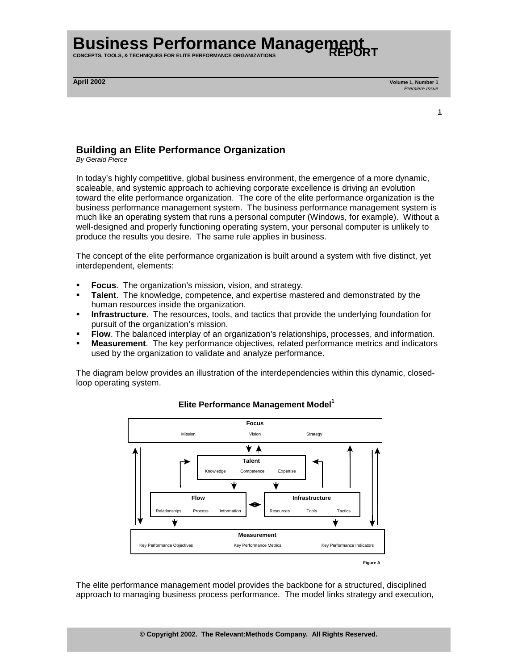**CONCEPTS, TOOLS, & TECHNIQUES FOR ELITE PERFORMANCE ORGANIZATIONS** 

**April 2002 Volume 1, Number 1**  Premiere Issue

**<sup>1</sup>**

### **Building an Elite Performance Organization**

By Gerald Pierce

In today's highly competitive, global business environment, the emergence of a more dynamic, scaleable, and systemic approach to achieving corporate excellence is driving an evolution toward the elite performance organization. The core of the elite performance organization is the business performance management system. The business performance management system is much like an operating system that runs a personal computer (Windows, for example). Without a well-designed and properly functioning operating system, your personal computer is unlikely to produce the results you desire. The same rule applies in business.

The concept of the elite performance organization is built around a system with five distinct, yet interdependent, elements:

- **Focus**. The organization's mission, vision, and strategy.
- ! **Talent**. The knowledge, competence, and expertise mastered and demonstrated by the human resources inside the organization.
- **Infrastructure**. The resources, tools, and tactics that provide the underlying foundation for pursuit of the organization's mission.
- ! **Flow**. The balanced interplay of an organization's relationships, processes, and information.
- ! **Measurement**. The key performance objectives, related performance metrics and indicators used by the organization to validate and analyze performance.

The diagram below provides an illustration of the interdependencies within this dynamic, closedloop operating system.



### **Elite Performance Management Model**<sup>1</sup>

The elite performance management model provides the backbone for a structured, disciplined approach to managing business process performance. The model links strategy and execution,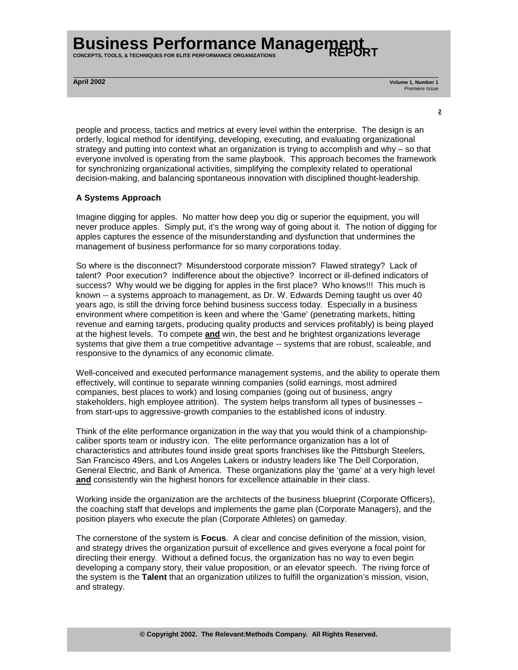**CONCEPTS, TOOLS, & TECHNIQUES FOR ELITE PERFORMANCE ORGANIZATIONS** 

**April 2002 Volume 1, Number 1**  Premiere Issue

people and process, tactics and metrics at every level within the enterprise. The design is an orderly, logical method for identifying, developing, executing, and evaluating organizational strategy and putting into context what an organization is trying to accomplish and why – so that everyone involved is operating from the same playbook. This approach becomes the framework for synchronizing organizational activities, simplifying the complexity related to operational decision-making, and balancing spontaneous innovation with disciplined thought-leadership.

**<sup>2</sup>**

#### **A Systems Approach**

Imagine digging for apples. No matter how deep you dig or superior the equipment, you will never produce apples. Simply put, it's the wrong way of going about it. The notion of digging for apples captures the essence of the misunderstanding and dysfunction that undermines the management of business performance for so many corporations today.

So where is the disconnect? Misunderstood corporate mission? Flawed strategy? Lack of talent? Poor execution? Indifference about the objective? Incorrect or ill-defined indicators of success? Why would we be digging for apples in the first place? Who knows!!! This much is known -- a systems approach to management, as Dr. W. Edwards Deming taught us over 40 years ago, is still the driving force behind business success today. Especially in a business environment where competition is keen and where the 'Game' (penetrating markets, hitting revenue and earning targets, producing quality products and services profitably) is being played at the highest levels. To compete **and** win, the best and he brightest organizations leverage systems that give them a true competitive advantage -- systems that are robust, scaleable, and responsive to the dynamics of any economic climate.

Well-conceived and executed performance management systems, and the ability to operate them effectively, will continue to separate winning companies (solid earnings, most admired companies, best places to work) and losing companies (going out of business, angry stakeholders, high employee attrition). The system helps transform all types of businesses – from start-ups to aggressive-growth companies to the established icons of industry.

Think of the elite performance organization in the way that you would think of a championshipcaliber sports team or industry icon. The elite performance organization has a lot of characteristics and attributes found inside great sports franchises like the Pittsburgh Steelers, San Francisco 49ers, and Los Angeles Lakers or industry leaders like The Dell Corporation, General Electric, and Bank of America. These organizations play the 'game' at a very high level **and** consistently win the highest honors for excellence attainable in their class.

Working inside the organization are the architects of the business blueprint (Corporate Officers), the coaching staff that develops and implements the game plan (Corporate Managers), and the position players who execute the plan (Corporate Athletes) on gameday.

The cornerstone of the system is **Focus**. A clear and concise definition of the mission, vision, and strategy drives the organization pursuit of excellence and gives everyone a focal point for directing their energy. Without a defined focus, the organization has no way to even begin developing a company story, their value proposition, or an elevator speech. The riving force of the system is the **Talent** that an organization utilizes to fulfill the organization's mission, vision, and strategy.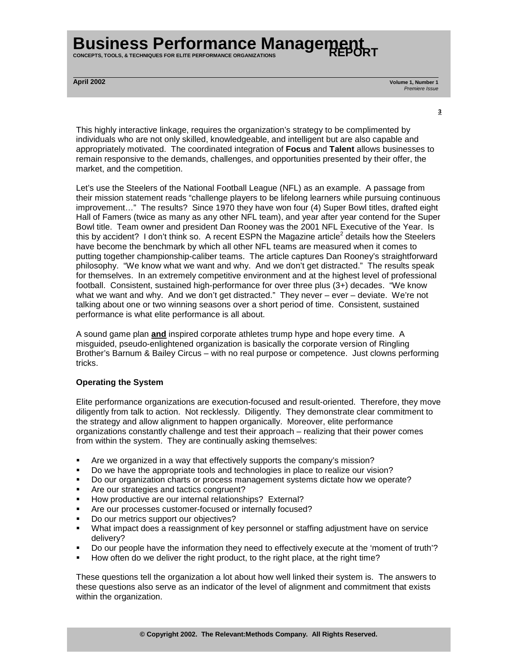**CONCEPTS, TOOLS, & TECHNIQUES FOR ELITE PERFORMANCE ORGANIZATIONS** 

**April 2002 Volume 1, Number 1**  Premiere Issue

**<sup>3</sup>**

This highly interactive linkage, requires the organization's strategy to be complimented by individuals who are not only skilled, knowledgeable, and intelligent but are also capable and appropriately motivated. The coordinated integration of **Focus** and **Talent** allows businesses to remain responsive to the demands, challenges, and opportunities presented by their offer, the market, and the competition.

Let's use the Steelers of the National Football League (NFL) as an example. A passage from their mission statement reads "challenge players to be lifelong learners while pursuing continuous improvement…" The results? Since 1970 they have won four (4) Super Bowl titles, drafted eight Hall of Famers (twice as many as any other NFL team), and year after year contend for the Super Bowl title. Team owner and president Dan Rooney was the 2001 NFL Executive of the Year. Is this by accident? I don't think so. A recent ESPN the Magazine article<sup>2</sup> details how the Steelers have become the benchmark by which all other NFL teams are measured when it comes to putting together championship-caliber teams. The article captures Dan Rooney's straightforward philosophy. "We know what we want and why. And we don't get distracted." The results speak for themselves. In an extremely competitive environment and at the highest level of professional football. Consistent, sustained high-performance for over three plus (3+) decades. "We know what we want and why. And we don't get distracted." They never – ever – deviate. We're not talking about one or two winning seasons over a short period of time. Consistent, sustained performance is what elite performance is all about.

A sound game plan **and** inspired corporate athletes trump hype and hope every time. A misguided, pseudo-enlightened organization is basically the corporate version of Ringling Brother's Barnum & Bailey Circus – with no real purpose or competence. Just clowns performing tricks.

#### **Operating the System**

Elite performance organizations are execution-focused and result-oriented. Therefore, they move diligently from talk to action. Not recklessly. Diligently. They demonstrate clear commitment to the strategy and allow alignment to happen organically. Moreover, elite performance organizations constantly challenge and test their approach – realizing that their power comes from within the system. They are continually asking themselves:

- Are we organized in a way that effectively supports the company's mission?
- ! Do we have the appropriate tools and technologies in place to realize our vision?
- ! Do our organization charts or process management systems dictate how we operate?
- ! Are our strategies and tactics congruent?
- ! How productive are our internal relationships? External?
- ! Are our processes customer-focused or internally focused?
- ! Do our metrics support our objectives?
- ! What impact does a reassignment of key personnel or staffing adjustment have on service delivery?
- ! Do our people have the information they need to effectively execute at the 'moment of truth'?
- ! How often do we deliver the right product, to the right place, at the right time?

These questions tell the organization a lot about how well linked their system is. The answers to these questions also serve as an indicator of the level of alignment and commitment that exists within the organization.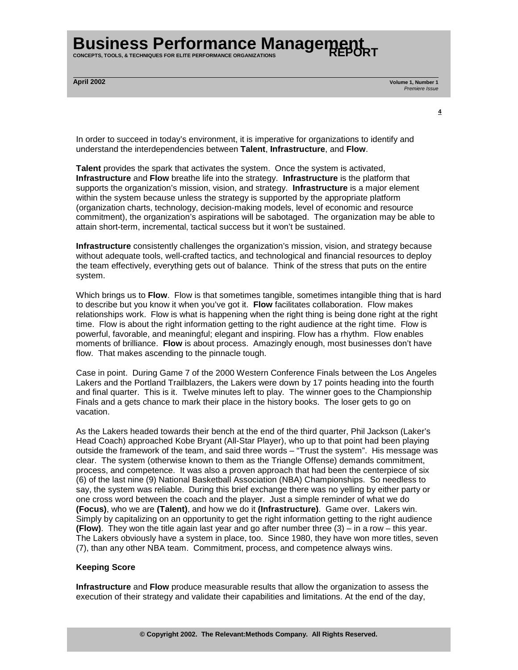**CONCEPTS, TOOLS, & TECHNIQUES FOR ELITE PERFORMANCE ORGANIZATIONS** 

**April 2002 Volume 1, Number 1**  Premiere Issue

**<sup>4</sup>**

In order to succeed in today's environment, it is imperative for organizations to identify and understand the interdependencies between **Talent**, **Infrastructure**, and **Flow**.

**Talent** provides the spark that activates the system. Once the system is activated, **Infrastructure** and **Flow** breathe life into the strategy. **Infrastructure** is the platform that supports the organization's mission, vision, and strategy. **Infrastructure** is a major element within the system because unless the strategy is supported by the appropriate platform (organization charts, technology, decision-making models, level of economic and resource commitment), the organization's aspirations will be sabotaged. The organization may be able to attain short-term, incremental, tactical success but it won't be sustained.

**Infrastructure** consistently challenges the organization's mission, vision, and strategy because without adequate tools, well-crafted tactics, and technological and financial resources to deploy the team effectively, everything gets out of balance. Think of the stress that puts on the entire system.

Which brings us to **Flow**. Flow is that sometimes tangible, sometimes intangible thing that is hard to describe but you know it when you've got it. **Flow** facilitates collaboration. Flow makes relationships work. Flow is what is happening when the right thing is being done right at the right time. Flow is about the right information getting to the right audience at the right time. Flow is powerful, favorable, and meaningful; elegant and inspiring. Flow has a rhythm. Flow enables moments of brilliance. **Flow** is about process. Amazingly enough, most businesses don't have flow. That makes ascending to the pinnacle tough.

Case in point. During Game 7 of the 2000 Western Conference Finals between the Los Angeles Lakers and the Portland Trailblazers, the Lakers were down by 17 points heading into the fourth and final quarter. This is it. Twelve minutes left to play. The winner goes to the Championship Finals and a gets chance to mark their place in the history books. The loser gets to go on vacation.

As the Lakers headed towards their bench at the end of the third quarter, Phil Jackson (Laker's Head Coach) approached Kobe Bryant (All-Star Player), who up to that point had been playing outside the framework of the team, and said three words – "Trust the system". His message was clear. The system (otherwise known to them as the Triangle Offense) demands commitment, process, and competence. It was also a proven approach that had been the centerpiece of six (6) of the last nine (9) National Basketball Association (NBA) Championships. So needless to say, the system was reliable. During this brief exchange there was no yelling by either party or one cross word between the coach and the player. Just a simple reminder of what we do **(Focus)**, who we are **(Talent)**, and how we do it **(Infrastructure)**. Game over. Lakers win. Simply by capitalizing on an opportunity to get the right information getting to the right audience **(Flow)**. They won the title again last year and go after number three (3) – in a row – this year. The Lakers obviously have a system in place, too. Since 1980, they have won more titles, seven (7), than any other NBA team. Commitment, process, and competence always wins.

#### **Keeping Score**

**Infrastructure** and **Flow** produce measurable results that allow the organization to assess the execution of their strategy and validate their capabilities and limitations. At the end of the day,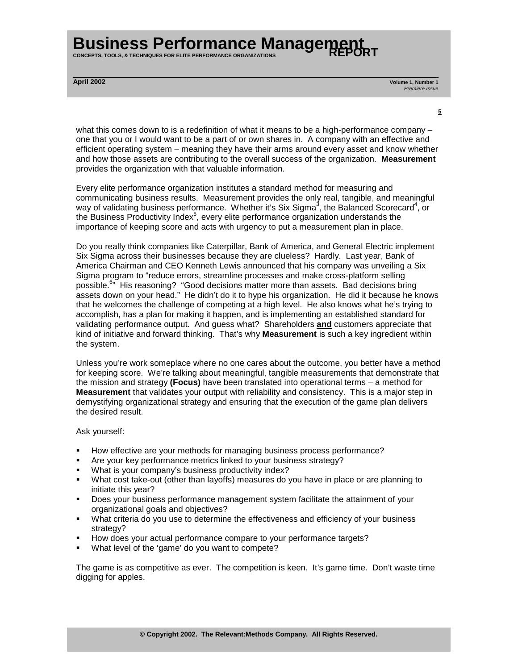**CONCEPTS, TOOLS, & TECHNIQUES FOR ELITE PERFORMANCE ORGANIZATIONS** 

**April 2002 Volume 1, Number 1**  Premiere Issue

what this comes down to is a redefinition of what it means to be a high-performance company – one that you or I would want to be a part of or own shares in. A company with an effective and efficient operating system – meaning they have their arms around every asset and know whether and how those assets are contributing to the overall success of the organization. **Measurement** provides the organization with that valuable information.

**<sup>5</sup>**

Every elite performance organization institutes a standard method for measuring and communicating business results. Measurement provides the only real, tangible, and meaningful way of validating business performance. Whether it's Six Sigma<sup>3</sup>, the Balanced Scorecard<sup>4</sup>, or the Business Productivity Index<sup>5</sup>, every elite performance organization understands the importance of keeping score and acts with urgency to put a measurement plan in place.

Do you really think companies like Caterpillar, Bank of America, and General Electric implement Six Sigma across their businesses because they are clueless? Hardly. Last year, Bank of America Chairman and CEO Kenneth Lewis announced that his company was unveiling a Six Sigma program to "reduce errors, streamline processes and make cross-platform selling possible.<sup>6</sup>" His reasoning? "Good decisions matter more than assets. Bad decisions bring assets down on your head." He didn't do it to hype his organization. He did it because he knows that he welcomes the challenge of competing at a high level. He also knows what he's trying to accomplish, has a plan for making it happen, and is implementing an established standard for validating performance output. And guess what? Shareholders **and** customers appreciate that kind of initiative and forward thinking. That's why **Measurement** is such a key ingredient within the system.

Unless you're work someplace where no one cares about the outcome, you better have a method for keeping score. We're talking about meaningful, tangible measurements that demonstrate that the mission and strategy **(Focus)** have been translated into operational terms – a method for **Measurement** that validates your output with reliability and consistency. This is a major step in demystifying organizational strategy and ensuring that the execution of the game plan delivers the desired result.

Ask yourself:

- ! How effective are your methods for managing business process performance?
- ! Are your key performance metrics linked to your business strategy?
- ! What is your company's business productivity index?
- ! What cost take-out (other than layoffs) measures do you have in place or are planning to initiate this year?
- ! Does your business performance management system facilitate the attainment of your organizational goals and objectives?
- ! What criteria do you use to determine the effectiveness and efficiency of your business strategy?
- ! How does your actual performance compare to your performance targets?
- What level of the 'game' do you want to compete?

The game is as competitive as ever. The competition is keen. It's game time. Don't waste time digging for apples.